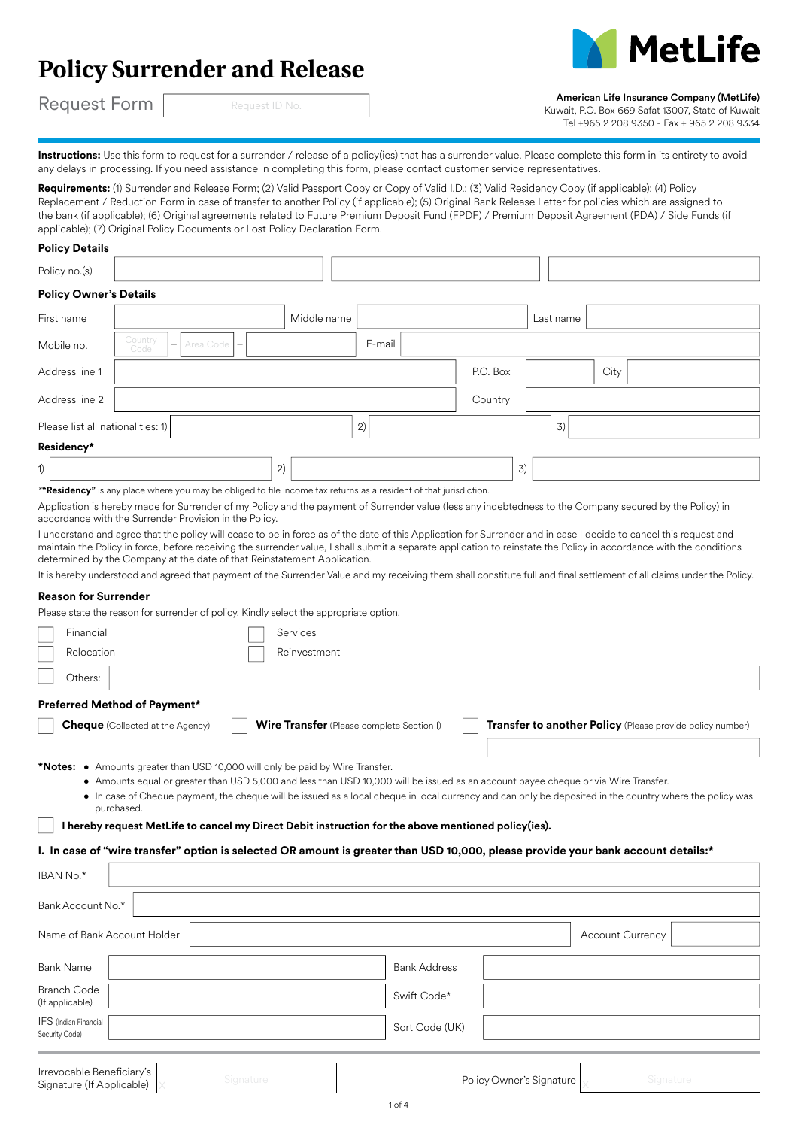# **Policy Surrender and Release**



Request Form

# Request ID No.

American Life Insurance Company (MetLife)

Kuwait, P.O. Box 669 Safat 13007, State of Kuwait Tel +965 2 208 9350 - Fax + 965 2 208 9334

Instructions: Use this form to request for a surrender / release of a policy(ies) that has a surrender value. Please complete this form in its entirety to avoid any delays in processing. If you need assistance in completing this form, please contact customer service representatives.

Requirements: (1) Surrender and Release Form; (2) Valid Passport Copy or Copy of Valid I.D.; (3) Valid Residency Copy (if applicable); (4) Policy Replacement / Reduction Form in case of transfer to another Policy (if applicable); (5) Original Bank Release Letter for policies which are assigned to the bank (if applicable); (6) Original agreements related to Future Premium Deposit Fund (FPDF) / Premium Deposit Agreement (PDA) / Side Funds (if applicable); (7) Original Policy Documents or Lost Policy Declaration Form.

| <b>Policy Details</b>             |                                                                                                                                                                                                                                   |                                                 |        |                                                                                           |          |           |      |  |
|-----------------------------------|-----------------------------------------------------------------------------------------------------------------------------------------------------------------------------------------------------------------------------------|-------------------------------------------------|--------|-------------------------------------------------------------------------------------------|----------|-----------|------|--|
| Policy no.(s)                     |                                                                                                                                                                                                                                   |                                                 |        |                                                                                           |          |           |      |  |
| <b>Policy Owner's Details</b>     |                                                                                                                                                                                                                                   |                                                 |        |                                                                                           |          |           |      |  |
| First name                        |                                                                                                                                                                                                                                   | Middle name                                     |        |                                                                                           |          | Last name |      |  |
| Mobile no.                        | Country<br>Area Code $\vert - \vert$<br>$\overline{\phantom{m}}$<br>Code                                                                                                                                                          |                                                 | E-mail |                                                                                           |          |           |      |  |
| Address line 1                    |                                                                                                                                                                                                                                   |                                                 |        |                                                                                           | P.O. Box |           | City |  |
| Address line 2                    |                                                                                                                                                                                                                                   |                                                 |        |                                                                                           | Country  |           |      |  |
| Please list all nationalities: 1) |                                                                                                                                                                                                                                   |                                                 | 2)     |                                                                                           |          | 3)        |      |  |
| Residency*                        |                                                                                                                                                                                                                                   |                                                 |        |                                                                                           |          |           |      |  |
| 1)                                |                                                                                                                                                                                                                                   | 2)                                              |        |                                                                                           | 3)       |           |      |  |
|                                   | $\frac{1}{2}$ . The contract of the contract of the contract of the contract of the contract of the contract of the contract of the contract of the contract of the contract of the contract of the contract of the contract of t | the contract of the contract of the contract of |        | the company of the company of the company of the company of the company of the company of |          |           |      |  |

*\****"Residency"** is any place where you may be obliged to file income tax returns as a resident of that jurisdiction.

Application is hereby made for Surrender of my Policy and the payment of Surrender value (less any indebtedness to the Company secured by the Policy) in accordance with the Surrender Provision in the Policy.

I understand and agree that the policy will cease to be in force as of the date of this Application for Surrender and in case I decide to cancel this request and maintain the Policy in force, before receiving the surrender value, I shall submit a separate application to reinstate the Policy in accordance with the conditions determined by the Company at the date of that Reinstatement Application.

It is hereby understood and agreed that payment of the Surrender Value and my receiving them shall constitute full and final settlement of all claims under the Policy.

## **Reason for Surrender**

Please state the reason for surrender of policy. Kindly select the appropriate option.

| Financial                                                                                                                         | Services                                                                                                                                                                                                                                                                                       |                          |                                                           |
|-----------------------------------------------------------------------------------------------------------------------------------|------------------------------------------------------------------------------------------------------------------------------------------------------------------------------------------------------------------------------------------------------------------------------------------------|--------------------------|-----------------------------------------------------------|
| Relocation                                                                                                                        | Reinvestment                                                                                                                                                                                                                                                                                   |                          |                                                           |
| Others:                                                                                                                           |                                                                                                                                                                                                                                                                                                |                          |                                                           |
| Preferred Method of Payment*                                                                                                      |                                                                                                                                                                                                                                                                                                |                          |                                                           |
| <b>Cheque</b> (Collected at the Agency)                                                                                           | <b>Wire Transfer</b> (Please complete Section I)                                                                                                                                                                                                                                               |                          | Transfer to another Policy (Please provide policy number) |
|                                                                                                                                   |                                                                                                                                                                                                                                                                                                |                          |                                                           |
| *Notes: • Amounts greater than USD 10,000 will only be paid by Wire Transfer.<br>purchased.                                       | • Amounts equal or greater than USD 5,000 and less than USD 10,000 will be issued as an account payee cheque or via Wire Transfer.<br>• In case of Cheque payment, the cheque will be issued as a local cheque in local currency and can only be deposited in the country where the policy was |                          |                                                           |
| I hereby request MetLife to cancel my Direct Debit instruction for the above mentioned policy(ies).                               |                                                                                                                                                                                                                                                                                                |                          |                                                           |
| I. In case of "wire transfer" option is selected OR amount is greater than USD 10,000, please provide your bank account details:* |                                                                                                                                                                                                                                                                                                |                          |                                                           |
| IBAN No.*                                                                                                                         |                                                                                                                                                                                                                                                                                                |                          |                                                           |
| Bank Account No.*                                                                                                                 |                                                                                                                                                                                                                                                                                                |                          |                                                           |
| Name of Bank Account Holder                                                                                                       |                                                                                                                                                                                                                                                                                                |                          | <b>Account Currency</b>                                   |
| <b>Bank Name</b>                                                                                                                  | <b>Bank Address</b>                                                                                                                                                                                                                                                                            |                          |                                                           |
| <b>Branch Code</b><br>(If applicable)                                                                                             | Swift Code*                                                                                                                                                                                                                                                                                    |                          |                                                           |
| IFS (Indian Financial<br>Security Code)                                                                                           | Sort Code (UK)                                                                                                                                                                                                                                                                                 |                          |                                                           |
|                                                                                                                                   |                                                                                                                                                                                                                                                                                                |                          |                                                           |
| Irrevocable Beneficiary's<br>Signature<br>Signature (If Applicable)                                                               |                                                                                                                                                                                                                                                                                                | Policy Owner's Signature | Signature                                                 |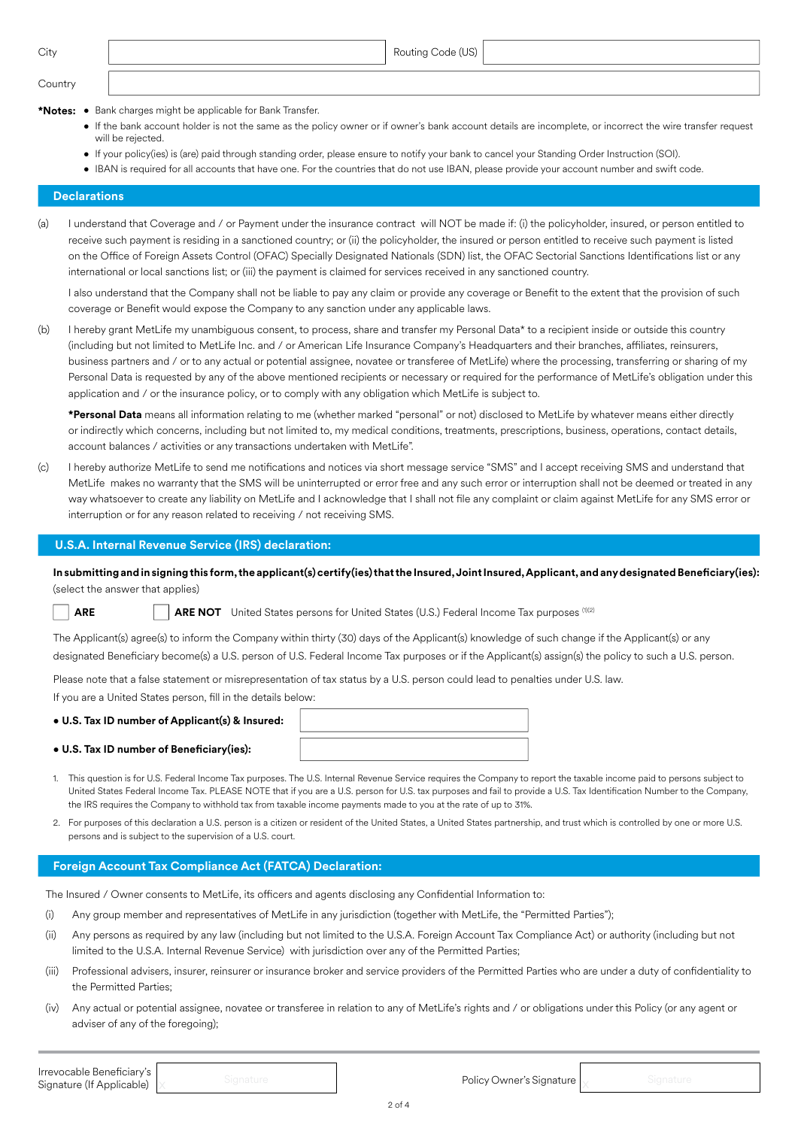Country

**\*Notes:** • Bank charges might be applicable for Bank Transfer.

- If the bank account holder is not the same as the policy owner or if owner's bank account details are incomplete, or incorrect the wire transfer request will be rejected.
- If your policy(ies) is (are) paid through standing order, please ensure to notify your bank to cancel your Standing Order Instruction (SOI).
- IBAN is required for all accounts that have one. For the countries that do not use IBAN, please provide your account number and swift code.

# **Declarations**

(a) I understand that Coverage and / or Payment under the insurance contract will NOT be made if: (i) the policyholder, insured, or person entitled to receive such payment is residing in a sanctioned country; or (ii) the policyholder, the insured or person entitled to receive such payment is listed on the Office of Foreign Assets Control (OFAC) Specially Designated Nationals (SDN) list, the OFAC Sectorial Sanctions Identifications list or any international or local sanctions list; or (iii) the payment is claimed for services received in any sanctioned country.

I also understand that the Company shall not be liable to pay any claim or provide any coverage or Benefit to the extent that the provision of such coverage or Benefit would expose the Company to any sanction under any applicable laws.

(b) I hereby grant MetLife my unambiguous consent, to process, share and transfer my Personal Data\* to a recipient inside or outside this country (including but not limited to MetLife Inc. and / or American Life Insurance Company's Headquarters and their branches, affiliates, reinsurers, business partners and / or to any actual or potential assignee, novatee or transferee of MetLife) where the processing, transferring or sharing of my Personal Data is requested by any of the above mentioned recipients or necessary or required for the performance of MetLife's obligation under this application and / or the insurance policy, or to comply with any obligation which MetLife is subject to.

**\*Personal Data** means all information relating to me (whether marked "personal" or not) disclosed to MetLife by whatever means either directly or indirectly which concerns, including but not limited to, my medical conditions, treatments, prescriptions, business, operations, contact details, account balances / activities or any transactions undertaken with MetLife".

(c) I hereby authorize MetLife to send me notifications and notices via short message service "SMS" and I accept receiving SMS and understand that MetLife makes no warranty that the SMS will be uninterrupted or error free and any such error or interruption shall not be deemed or treated in any way whatsoever to create any liability on MetLife and I acknowledge that I shall not file any complaint or claim against MetLife for any SMS error or interruption or for any reason related to receiving / not receiving SMS.

## **U.S.A. Internal Revenue Service (IRS) declaration:**

**In submitting and in signing this form, the applicant(s) certify(ies) that the Insured, Joint Insured, Applicant, and any designated Beneficiary(ies):**  (select the answer that applies)

**ARE ARE NOT** United States persons for United States (U.S.) Federal Income Tax purposes (1)(2)

The Applicant(s) agree(s) to inform the Company within thirty (30) days of the Applicant(s) knowledge of such change if the Applicant(s) or any designated Beneficiary become(s) a U.S. person of U.S. Federal Income Tax purposes or if the Applicant(s) assign(s) the policy to such a U.S. person.

Please note that a false statement or misrepresentation of tax status by a U.S. person could lead to penalties under U.S. law.

If you are a United States person, fill in the details below:

### • **U.S. Tax ID number of Applicant(s) & Insured:**

### • **U.S. Tax ID number of Beneficiary(ies):**



- 1. This question is for U.S. Federal Income Tax purposes. The U.S. Internal Revenue Service requires the Company to report the taxable income paid to persons subject to United States Federal Income Tax. PLEASE NOTE that if you are a U.S. person for U.S. tax purposes and fail to provide a U.S. Tax Identification Number to the Company, the IRS requires the Company to withhold tax from taxable income payments made to you at the rate of up to 31%.
- 2. For purposes of this declaration a U.S. person is a citizen or resident of the United States, a United States partnership, and trust which is controlled by one or more U.S. persons and is subject to the supervision of a U.S. court.

# **Foreign Account Tax Compliance Act (FATCA) Declaration:**

The Insured / Owner consents to MetLife, its officers and agents disclosing any Confidential Information to:

- (i) Any group member and representatives of MetLife in any jurisdiction (together with MetLife, the "Permitted Parties");
- (ii) Any persons as required by any law (including but not limited to the U.S.A. Foreign Account Tax Compliance Act) or authority (including but not limited to the U.S.A. Internal Revenue Service) with jurisdiction over any of the Permitted Parties;
- (iii) Professional advisers, insurer, reinsurer or insurance broker and service providers of the Permitted Parties who are under a duty of confidentiality to the Permitted Parties;
- (iv) Any actual or potential assignee, novatee or transferee in relation to any of MetLife's rights and / or obligations under this Policy (or any agent or adviser of any of the foregoing);

**Irrevocable Beneficiary's**<br>Signature (If Applicable) x and Signature Intervention of the Irrevocable Intervener's Signature and Signature Irrevocable Beneficiary's<br>Signature (If Applicable)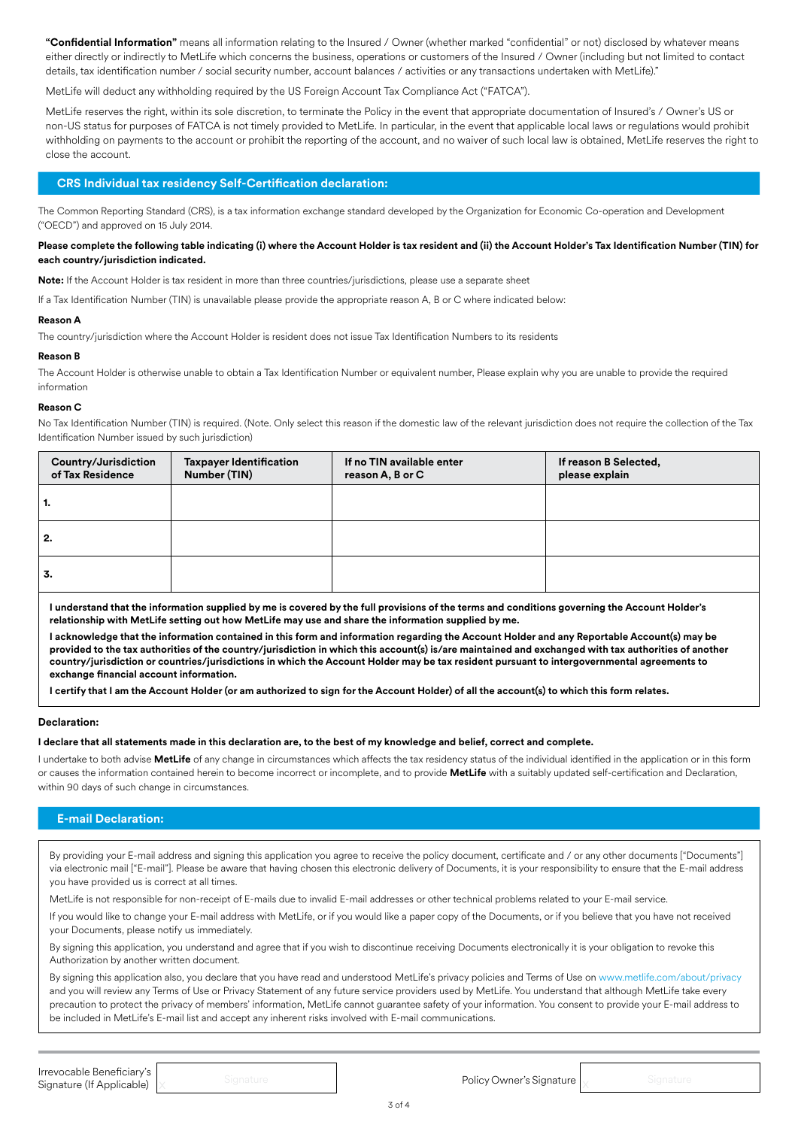**"Confidential Information"** means all information relating to the Insured / Owner (whether marked "confidential" or not) disclosed by whatever means either directly or indirectly to MetLife which concerns the business, operations or customers of the Insured / Owner (including but not limited to contact details, tax identification number / social security number, account balances / activities or any transactions undertaken with MetLife)."

MetLife will deduct any withholding required by the US Foreign Account Tax Compliance Act ("FATCA").

MetLife reserves the right, within its sole discretion, to terminate the Policy in the event that appropriate documentation of Insured's / Owner's US or non-US status for purposes of FATCA is not timely provided to MetLife. In particular, in the event that applicable local laws or regulations would prohibit withholding on payments to the account or prohibit the reporting of the account, and no waiver of such local law is obtained, MetLife reserves the right to close the account.

# **CRS Individual tax residency Self-Certification declaration:**

The Common Reporting Standard (CRS), is a tax information exchange standard developed by the Organization for Economic Co-operation and Development ("OECD") and approved on 15 July 2014.

## **Please complete the following table indicating (i) where the Account Holder is tax resident and (ii) the Account Holder's Tax Identification Number (TIN) for each country/jurisdiction indicated.**

**Note:** If the Account Holder is tax resident in more than three countries/jurisdictions, please use a separate sheet

If a Tax Identification Number (TIN) is unavailable please provide the appropriate reason A, B or C where indicated below:

## **Reason A**

The country/jurisdiction where the Account Holder is resident does not issue Tax Identification Numbers to its residents

## **Reason B**

The Account Holder is otherwise unable to obtain a Tax Identification Number or equivalent number, Please explain why you are unable to provide the required information

### **Reason C**

No Tax Identification Number (TIN) is required. (Note. Only select this reason if the domestic law of the relevant jurisdiction does not require the collection of the Tax Identification Number issued by such jurisdiction)

| Country/Jurisdiction<br>of Tax Residence | <b>Taxpayer Identification</b><br>Number (TIN) | If no TIN available enter<br>reason A, B or C | If reason B Selected,<br>please explain |
|------------------------------------------|------------------------------------------------|-----------------------------------------------|-----------------------------------------|
| ı.                                       |                                                |                                               |                                         |
| 2.                                       |                                                |                                               |                                         |
| 3.                                       |                                                |                                               |                                         |

**I understand that the information supplied by me is covered by the full provisions of the terms and conditions governing the Account Holder's relationship with MetLife setting out how MetLife may use and share the information supplied by me.** 

**I acknowledge that the information contained in this form and information regarding the Account Holder and any Reportable Account(s) may be provided to the tax authorities of the country/jurisdiction in which this account(s) is/are maintained and exchanged with tax authorities of another country/jurisdiction or countries/jurisdictions in which the Account Holder may be tax resident pursuant to intergovernmental agreements to exchange financial account information.** 

**I certify that I am the Account Holder (or am authorized to sign for the Account Holder) of all the account(s) to which this form relates.** 

## **Declaration:**

## **I declare that all statements made in this declaration are, to the best of my knowledge and belief, correct and complete.**

I undertake to both advise **MetLife** of any change in circumstances which affects the tax residency status of the individual identified in the application or in this form or causes the information contained herein to become incorrect or incomplete, and to provide **MetLife** with a suitably updated self-certification and Declaration, within 90 days of such change in circumstances.

# **E-mail Declaration:**

By providing your E-mail address and signing this application you agree to receive the policy document, certificate and / or any other documents ["Documents"] via electronic mail ["E-mail"]. Please be aware that having chosen this electronic delivery of Documents, it is your responsibility to ensure that the E-mail address you have provided us is correct at all times.

MetLife is not responsible for non-receipt of E-mails due to invalid E-mail addresses or other technical problems related to your E-mail service.

If you would like to change your E-mail address with MetLife, or if you would like a paper copy of the Documents, or if you believe that you have not received your Documents, please notify us immediately.

By signing this application, you understand and agree that if you wish to discontinue receiving Documents electronically it is your obligation to revoke this Authorization by another written document.

By signing this application also, you declare that you have read and understood MetLife's privacy policies and Terms of Use on www.metlife.com/about/privacy and you will review any Terms of Use or Privacy Statement of any future service providers used by MetLife. You understand that although MetLife take every precaution to protect the privacy of members' information, MetLife cannot guarantee safety of your information. You consent to provide your E-mail address to be included in MetLife's E-mail list and accept any inherent risks involved with E-mail communications.

**Irrevocable Beneficiary's**<br>Signature (If Applicable) x and Signature Intervention of the Irrevocable Intervener's Signature and Signature Irrevocable Beneficiary's<br>Signature (If Applicable)